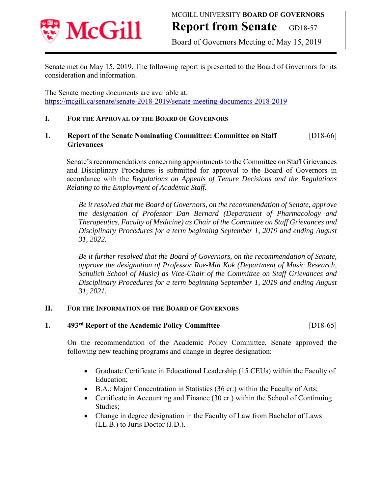

# **Report from Senate** GD18-57

Board of Governors Meeting of May 15, 2019

Senate met on May 15, 2019. The following report is presented to the Board of Governors for its consideration and information.

The Senate meeting documents are available at: https://mcgill.ca/senate/senate-2018-2019/senate-meeting-documents-2018-2019

### **I. FOR THE APPROVAL OF THE BOARD OF GOVERNORS**

### **1. Report of the Senate Nominating Committee: Committee on Staff** [D18-66]  **Grievances**

Senate's recommendations concerning appointments to the Committee on Staff Grievances and Disciplinary Procedures is submitted for approval to the Board of Governors in accordance with the *Regulations on Appeals of Tenure Decisions and the Regulations Relating to the Employment of Academic Staff.*

*Be it resolved that the Board of Governors, on the recommendation of Senate, approve the designation of Professor Dan Bernard (Department of Pharmacology and Therapeutics, Faculty of Medicine) as Chair of the Committee on Staff Grievances and Disciplinary Procedures for a term beginning September 1, 2019 and ending August 31, 2022.* 

*Be it further resolved that the Board of Governors, on the recommendation of Senate, approve the designation of Professor Roe-Min Kok (Department of Music Research, Schulich School of Music) as Vice-Chair of the Committee on Staff Grievances and Disciplinary Procedures for a term beginning September 1, 2019 and ending August 31, 2021.* 

#### **II. FOR THE INFORMATION OF THE BOARD OF GOVERNORS**

**1. 493rd Report of the Academic Policy Committee** [D18-65]

On the recommendation of the Academic Policy Committee, Senate approved the following new teaching programs and change in degree designation:

- Graduate Certificate in Educational Leadership (15 CEUs) within the Faculty of Education;
- B.A.; Major Concentration in Statistics (36 cr.) within the Faculty of Arts;
- Certificate in Accounting and Finance (30 cr.) within the School of Continuing Studies;
- Change in degree designation in the Faculty of Law from Bachelor of Laws (LL.B.) to Juris Doctor (J.D.).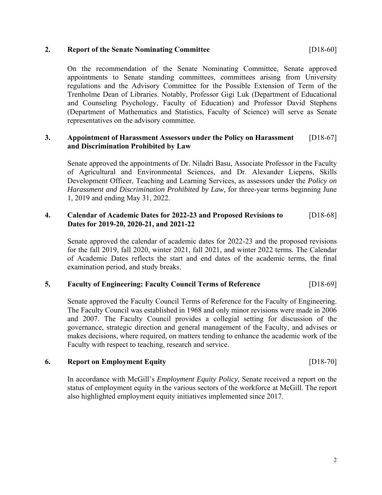#### **2. Report of the Senate Nominating Committee** [D18-60]

On the recommendation of the Senate Nominating Committee, Senate approved appointments to Senate standing committees, committees arising from University regulations and the Advisory Committee for the Possible Extension of Term of the Trenholme Dean of Libraries. Notably, Professor Gigi Luk (Department of Educational and Counseling Psychology, Faculty of Education) and Professor David Stephens (Department of Mathematics and Statistics, Faculty of Science) will serve as Senate representatives on the advisory committee.

### **3. Appointment of Harassment Assessors under the Policy on Harassment**[D18-67]  **and Discrimination Prohibited by Law**

Senate approved the appointments of Dr. Niladri Basu, Associate Professor in the Faculty of Agricultural and Environmental Sciences, and Dr. Alexander Liepens, Skills Development Officer, Teaching and Learning Services, as assessors under the *Policy on Harassment and Discrimination Prohibited by Law,* for three-year terms beginning June 1, 2019 and ending May 31, 2022.

### **4. Calendar of Academic Dates for 2022-23 and Proposed Revisions to** [D18-68]  **Dates for 2019-20, 2020-21, and 2021-22**

Senate approved the calendar of academic dates for 2022-23 and the proposed revisions for the fall 2019, fall 2020, winter 2021, fall 2021, and winter 2022 terms. The Calendar of Academic Dates reflects the start and end dates of the academic terms, the final examination period, and study breaks.

#### **5. Faculty of Engineering: Faculty Council Terms of Reference** [D18-69]

Senate approved the Faculty Council Terms of Reference for the Faculty of Engineering. The Faculty Council was established in 1968 and only minor revisions were made in 2006 and 2007. The Faculty Council provides a collegial setting for discussion of the governance, strategic direction and general management of the Faculty, and advises or makes decisions, where required, on matters tending to enhance the academic work of the Faculty with respect to teaching, research and service.

#### **6. Report on Employment Equity** [D18-70]

In accordance with McGill's *Employment Equity Policy*, Senate received a report on the status of employment equity in the various sectors of the workforce at McGill. The report also highlighted employment equity initiatives implemented since 2017.